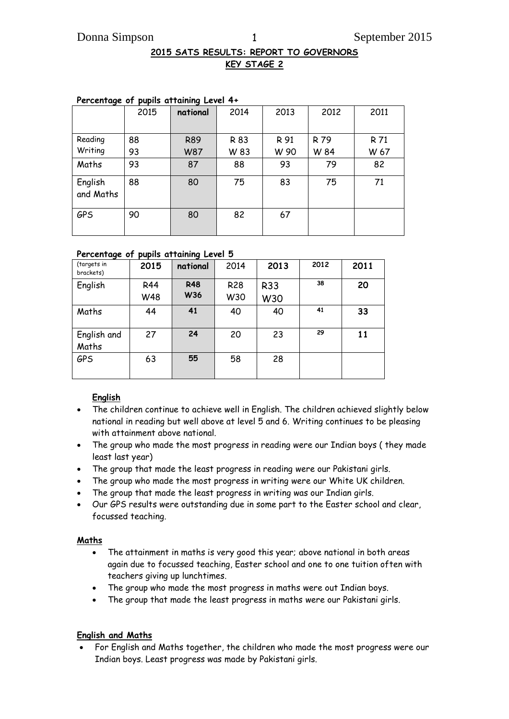# **2015 SATS RESULTS: REPORT TO GOVERNORS KEY STAGE 2**

| ---                  | 2015 | national   | 2014 | 2013 | 2012 | 2011 |
|----------------------|------|------------|------|------|------|------|
|                      |      |            |      |      |      |      |
| Reading              | 88   | <b>R89</b> | R 83 | R 91 | R 79 | R 71 |
| Writing              | 93   | <b>W87</b> | W 83 | W 90 | W 84 | W 67 |
| Maths                | 93   | 87         | 88   | 93   | 79   | 82   |
| English<br>and Maths | 88   | 80         | 75   | 83   | 75   | 71   |
| <b>GPS</b>           | 90   | 80         | 82   | 67   |      |      |

# **Percentage of pupils attaining Level 4+**

#### **Percentage of pupils attaining Level 5**

| (targets in<br>brackets) | 2015              | national          | 2014              | 2013              | 2012 | 2011 |
|--------------------------|-------------------|-------------------|-------------------|-------------------|------|------|
| English                  | <b>R44</b><br>W48 | <b>R48</b><br>W36 | <b>R28</b><br>W30 | <b>R33</b><br>W30 | 38   | 20   |
| Maths                    | 44                | 41                | 40                | 40                | 41   | 33   |
| English and<br>Maths     | 27                | 24                | 20                | 23                | 29   | 11   |
| <b>GPS</b>               | 63                | 55                | 58                | 28                |      |      |

## **English**

- The children continue to achieve well in English. The children achieved slightly below national in reading but well above at level 5 and 6. Writing continues to be pleasing with attainment above national.
- The group who made the most progress in reading were our Indian boys ( they made least last year)
- The group that made the least progress in reading were our Pakistani girls.
- The group who made the most progress in writing were our White UK children.
- The group that made the least progress in writing was our Indian girls.
- Our GPS results were outstanding due in some part to the Easter school and clear, focussed teaching.

#### **Maths**

- The attainment in maths is very good this year; above national in both areas again due to focussed teaching, Easter school and one to one tuition often with teachers giving up lunchtimes.
- The group who made the most progress in maths were out Indian boys.
- The group that made the least progress in maths were our Pakistani girls.

## **English and Maths**

 For English and Maths together, the children who made the most progress were our Indian boys. Least progress was made by Pakistani girls.